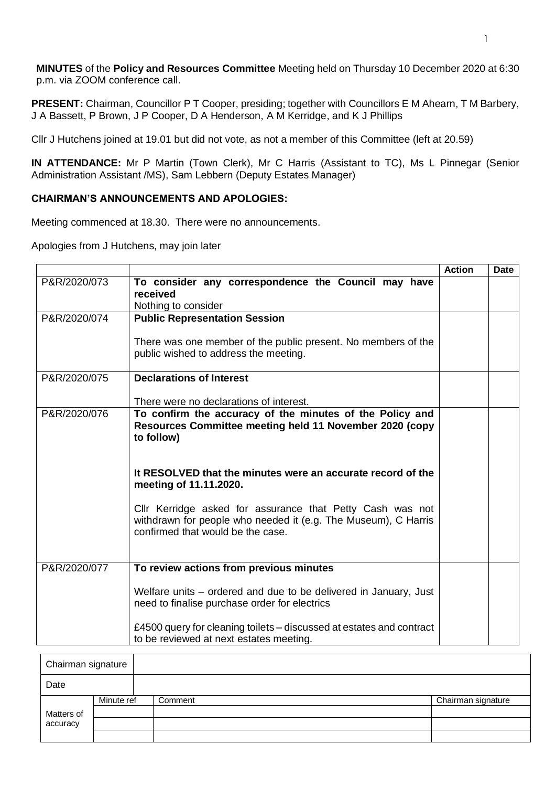**MINUTES** of the **Policy and Resources Committee** Meeting held on Thursday 10 December 2020 at 6:30 p.m. via ZOOM conference call.

**PRESENT:** Chairman, Councillor P T Cooper, presiding; together with Councillors E M Ahearn, T M Barbery, J A Bassett, P Brown, J P Cooper, D A Henderson, A M Kerridge, and K J Phillips

Cllr J Hutchens joined at 19.01 but did not vote, as not a member of this Committee (left at 20.59)

**IN ATTENDANCE:** Mr P Martin (Town Clerk), Mr C Harris (Assistant to TC), Ms L Pinnegar (Senior Administration Assistant /MS), Sam Lebbern (Deputy Estates Manager)

## **CHAIRMAN'S ANNOUNCEMENTS AND APOLOGIES:**

Meeting commenced at 18.30. There were no announcements.

Apologies from J Hutchens, may join later

|              |                                                                                                                                                                  | <b>Action</b> | <b>Date</b> |
|--------------|------------------------------------------------------------------------------------------------------------------------------------------------------------------|---------------|-------------|
| P&R/2020/073 | To consider any correspondence the Council may have<br>received<br>Nothing to consider                                                                           |               |             |
| P&R/2020/074 | <b>Public Representation Session</b>                                                                                                                             |               |             |
|              | There was one member of the public present. No members of the<br>public wished to address the meeting.                                                           |               |             |
| P&R/2020/075 | <b>Declarations of Interest</b>                                                                                                                                  |               |             |
|              | There were no declarations of interest.                                                                                                                          |               |             |
| P&R/2020/076 | To confirm the accuracy of the minutes of the Policy and<br>Resources Committee meeting held 11 November 2020 (copy<br>to follow)                                |               |             |
|              | It RESOLVED that the minutes were an accurate record of the<br>meeting of 11.11.2020.                                                                            |               |             |
|              | Cllr Kerridge asked for assurance that Petty Cash was not<br>withdrawn for people who needed it (e.g. The Museum), C Harris<br>confirmed that would be the case. |               |             |
| P&R/2020/077 | To review actions from previous minutes                                                                                                                          |               |             |
|              | Welfare units – ordered and due to be delivered in January, Just<br>need to finalise purchase order for electrics                                                |               |             |
|              | £4500 query for cleaning toilets – discussed at estates and contract<br>to be reviewed at next estates meeting.                                                  |               |             |

| Chairman signature |            |         |                    |
|--------------------|------------|---------|--------------------|
| Date               |            |         |                    |
|                    | Minute ref | Comment | Chairman signature |
| Matters of         |            |         |                    |
| accuracy           |            |         |                    |
|                    |            |         |                    |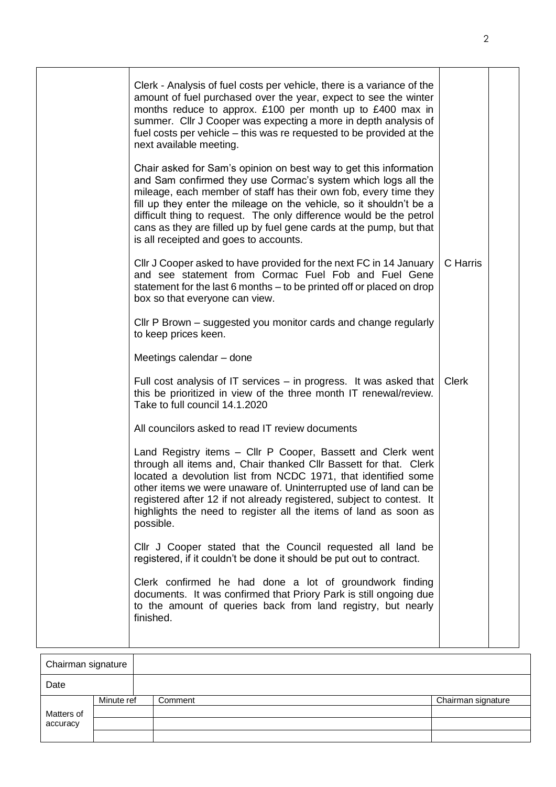| Clerk - Analysis of fuel costs per vehicle, there is a variance of the<br>amount of fuel purchased over the year, expect to see the winter<br>months reduce to approx. £100 per month up to £400 max in<br>summer. Cllr J Cooper was expecting a more in depth analysis of<br>fuel costs per vehicle – this was re requested to be provided at the<br>next available meeting.<br>Chair asked for Sam's opinion on best way to get this information<br>and Sam confirmed they use Cormac's system which logs all the<br>mileage, each member of staff has their own fob, every time they<br>fill up they enter the mileage on the vehicle, so it shouldn't be a<br>difficult thing to request. The only difference would be the petrol<br>cans as they are filled up by fuel gene cards at the pump, but that<br>is all receipted and goes to accounts.<br>Cllr J Cooper asked to have provided for the next FC in 14 January<br>and see statement from Cormac Fuel Fob and Fuel Gene<br>statement for the last 6 months – to be printed off or placed on drop<br>box so that everyone can view.<br>Cllr P Brown – suggested you monitor cards and change regularly<br>to keep prices keen.<br>Meetings calendar - done<br>Full cost analysis of IT services - in progress. It was asked that | C Harris<br><b>Clerk</b> |  |
|----------------------------------------------------------------------------------------------------------------------------------------------------------------------------------------------------------------------------------------------------------------------------------------------------------------------------------------------------------------------------------------------------------------------------------------------------------------------------------------------------------------------------------------------------------------------------------------------------------------------------------------------------------------------------------------------------------------------------------------------------------------------------------------------------------------------------------------------------------------------------------------------------------------------------------------------------------------------------------------------------------------------------------------------------------------------------------------------------------------------------------------------------------------------------------------------------------------------------------------------------------------------------------------------|--------------------------|--|
| this be prioritized in view of the three month IT renewal/review.<br>Take to full council 14.1.2020<br>All councilors asked to read IT review documents<br>Land Registry items - Cllr P Cooper, Bassett and Clerk went<br>through all items and, Chair thanked Cllr Bassett for that. Clerk                                                                                                                                                                                                                                                                                                                                                                                                                                                                                                                                                                                                                                                                                                                                                                                                                                                                                                                                                                                                  |                          |  |
| located a devolution list from NCDC 1971, that identified some<br>other items we were unaware of. Uninterrupted use of land can be<br>registered after 12 if not already registered, subject to contest. It<br>highlights the need to register all the items of land as soon as<br>possible.<br>Cllr J Cooper stated that the Council requested all land be                                                                                                                                                                                                                                                                                                                                                                                                                                                                                                                                                                                                                                                                                                                                                                                                                                                                                                                                  |                          |  |
| registered, if it couldn't be done it should be put out to contract.<br>Clerk confirmed he had done a lot of groundwork finding<br>documents. It was confirmed that Priory Park is still ongoing due<br>to the amount of queries back from land registry, but nearly<br>finished.                                                                                                                                                                                                                                                                                                                                                                                                                                                                                                                                                                                                                                                                                                                                                                                                                                                                                                                                                                                                            |                          |  |

| Chairman signature |            |         |                    |
|--------------------|------------|---------|--------------------|
| Date               |            |         |                    |
|                    | Minute ref | Comment | Chairman signature |
| Matters of         |            |         |                    |
| accuracy           |            |         |                    |
|                    |            |         |                    |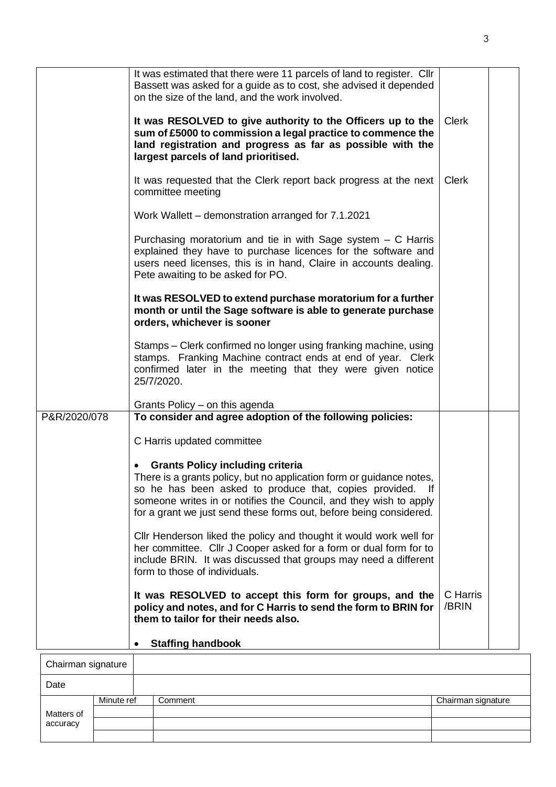|              | It was estimated that there were 11 parcels of land to register. Cllr<br>Bassett was asked for a guide as to cost, she advised it depended<br>on the size of the land, and the work involved.                                               |                   |
|--------------|---------------------------------------------------------------------------------------------------------------------------------------------------------------------------------------------------------------------------------------------|-------------------|
|              | It was RESOLVED to give authority to the Officers up to the<br>sum of £5000 to commission a legal practice to commence the<br>land registration and progress as far as possible with the<br>largest parcels of land prioritised.            | <b>Clerk</b>      |
|              | It was requested that the Clerk report back progress at the next<br>committee meeting                                                                                                                                                       | <b>Clerk</b>      |
|              | Work Wallett – demonstration arranged for 7.1.2021                                                                                                                                                                                          |                   |
|              | Purchasing moratorium and tie in with Sage system $-$ C Harris<br>explained they have to purchase licences for the software and<br>users need licenses, this is in hand, Claire in accounts dealing.<br>Pete awaiting to be asked for PO.   |                   |
|              | It was RESOLVED to extend purchase moratorium for a further<br>month or until the Sage software is able to generate purchase<br>orders, whichever is sooner                                                                                 |                   |
|              | Stamps – Clerk confirmed no longer using franking machine, using<br>stamps. Franking Machine contract ends at end of year. Clerk<br>confirmed later in the meeting that they were given notice<br>25/7/2020.                                |                   |
|              | Grants Policy – on this agenda                                                                                                                                                                                                              |                   |
| P&R/2020/078 | To consider and agree adoption of the following policies:                                                                                                                                                                                   |                   |
|              | C Harris updated committee                                                                                                                                                                                                                  |                   |
|              | <b>Grants Policy including criteria</b>                                                                                                                                                                                                     |                   |
|              | There is a grants policy, but no application form or guidance notes,                                                                                                                                                                        |                   |
|              | so he has been asked to produce that, copies provided.<br>-lf<br>someone writes in or notifies the Council, and they wish to apply                                                                                                          |                   |
|              | for a grant we just send these forms out, before being considered.                                                                                                                                                                          |                   |
|              | Cllr Henderson liked the policy and thought it would work well for<br>her committee. Cllr J Cooper asked for a form or dual form for to<br>include BRIN. It was discussed that groups may need a different<br>form to those of individuals. |                   |
|              | It was RESOLVED to accept this form for groups, and the<br>policy and notes, and for C Harris to send the form to BRIN for<br>them to tailor for their needs also.                                                                          | C Harris<br>/BRIN |
|              | <b>Staffing handbook</b>                                                                                                                                                                                                                    |                   |
|              |                                                                                                                                                                                                                                             |                   |

| Chainnan signature |            |         |                    |
|--------------------|------------|---------|--------------------|
| Date               |            |         |                    |
|                    | Minute ref | Comment | Chairman signature |
| Matters of         |            |         |                    |
| accuracy           |            |         |                    |
|                    |            |         |                    |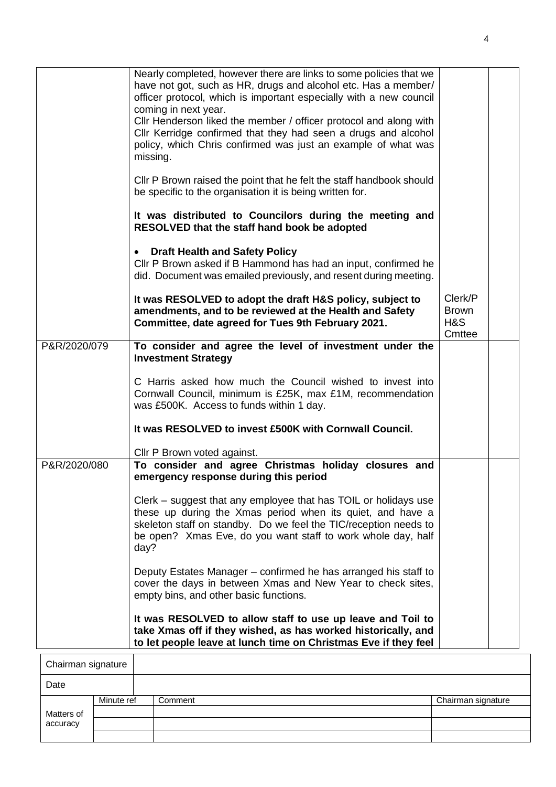|              | Nearly completed, however there are links to some policies that we<br>have not got, such as HR, drugs and alcohol etc. Has a member/<br>officer protocol, which is important especially with a new council<br>coming in next year.<br>Cllr Henderson liked the member / officer protocol and along with<br>Cllr Kerridge confirmed that they had seen a drugs and alcohol<br>policy, which Chris confirmed was just an example of what was<br>missing.<br>Cllr P Brown raised the point that he felt the staff handbook should<br>be specific to the organisation it is being written for.<br>It was distributed to Councilors during the meeting and<br>RESOLVED that the staff hand book be adopted<br><b>Draft Health and Safety Policy</b> |                                          |  |
|--------------|------------------------------------------------------------------------------------------------------------------------------------------------------------------------------------------------------------------------------------------------------------------------------------------------------------------------------------------------------------------------------------------------------------------------------------------------------------------------------------------------------------------------------------------------------------------------------------------------------------------------------------------------------------------------------------------------------------------------------------------------|------------------------------------------|--|
|              | $\bullet$<br>Cllr P Brown asked if B Hammond has had an input, confirmed he<br>did. Document was emailed previously, and resent during meeting.                                                                                                                                                                                                                                                                                                                                                                                                                                                                                                                                                                                                |                                          |  |
|              | It was RESOLVED to adopt the draft H&S policy, subject to<br>amendments, and to be reviewed at the Health and Safety<br>Committee, date agreed for Tues 9th February 2021.                                                                                                                                                                                                                                                                                                                                                                                                                                                                                                                                                                     | Clerk/P<br><b>Brown</b><br>H&S<br>Cmttee |  |
| P&R/2020/079 | To consider and agree the level of investment under the<br><b>Investment Strategy</b>                                                                                                                                                                                                                                                                                                                                                                                                                                                                                                                                                                                                                                                          |                                          |  |
|              | C Harris asked how much the Council wished to invest into<br>Cornwall Council, minimum is £25K, max £1M, recommendation<br>was £500K. Access to funds within 1 day.                                                                                                                                                                                                                                                                                                                                                                                                                                                                                                                                                                            |                                          |  |
|              | It was RESOLVED to invest £500K with Cornwall Council.                                                                                                                                                                                                                                                                                                                                                                                                                                                                                                                                                                                                                                                                                         |                                          |  |
|              | Cllr P Brown voted against.                                                                                                                                                                                                                                                                                                                                                                                                                                                                                                                                                                                                                                                                                                                    |                                          |  |
| P&R/2020/080 | To consider and agree Christmas holiday closures and<br>emergency response during this period                                                                                                                                                                                                                                                                                                                                                                                                                                                                                                                                                                                                                                                  |                                          |  |
|              | Clerk – suggest that any employee that has TOIL or holidays use<br>these up during the Xmas period when its quiet, and have a<br>skeleton staff on standby. Do we feel the TIC/reception needs to<br>be open? Xmas Eve, do you want staff to work whole day, half<br>day?                                                                                                                                                                                                                                                                                                                                                                                                                                                                      |                                          |  |
|              | Deputy Estates Manager – confirmed he has arranged his staff to<br>cover the days in between Xmas and New Year to check sites,<br>empty bins, and other basic functions.                                                                                                                                                                                                                                                                                                                                                                                                                                                                                                                                                                       |                                          |  |
|              | It was RESOLVED to allow staff to use up leave and Toil to<br>take Xmas off if they wished, as has worked historically, and<br>to let people leave at lunch time on Christmas Eve if they feel                                                                                                                                                                                                                                                                                                                                                                                                                                                                                                                                                 |                                          |  |
|              |                                                                                                                                                                                                                                                                                                                                                                                                                                                                                                                                                                                                                                                                                                                                                |                                          |  |

| Chairman signature |            |         |                    |
|--------------------|------------|---------|--------------------|
| Date               |            |         |                    |
|                    | Minute ref | Comment | Chairman signature |
| Matters of         |            |         |                    |
| accuracy           |            |         |                    |
|                    |            |         |                    |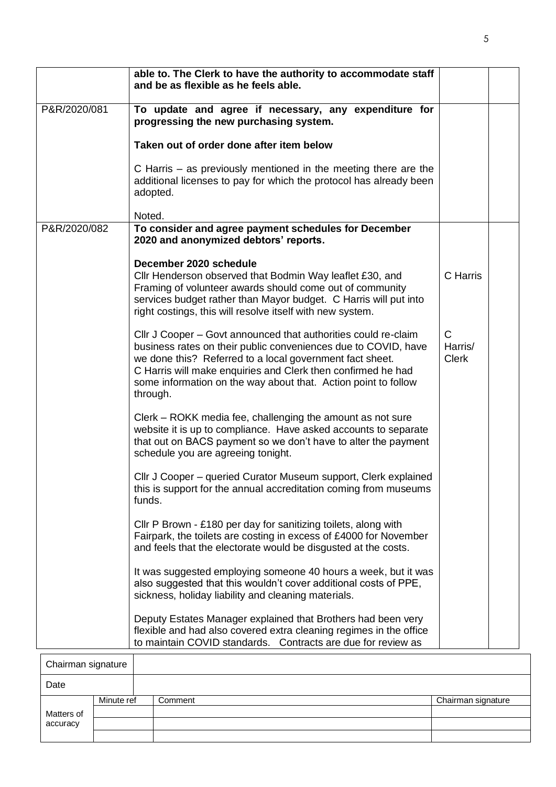|              | able to. The Clerk to have the authority to accommodate staff<br>and be as flexible as he feels able.                                                                                                                                                                                                                                      |                                         |  |
|--------------|--------------------------------------------------------------------------------------------------------------------------------------------------------------------------------------------------------------------------------------------------------------------------------------------------------------------------------------------|-----------------------------------------|--|
| P&R/2020/081 | To update and agree if necessary, any expenditure for<br>progressing the new purchasing system.                                                                                                                                                                                                                                            |                                         |  |
|              | Taken out of order done after item below                                                                                                                                                                                                                                                                                                   |                                         |  |
|              | C Harris - as previously mentioned in the meeting there are the<br>additional licenses to pay for which the protocol has already been<br>adopted.                                                                                                                                                                                          |                                         |  |
|              | Noted.                                                                                                                                                                                                                                                                                                                                     |                                         |  |
| P&R/2020/082 | To consider and agree payment schedules for December<br>2020 and anonymized debtors' reports.                                                                                                                                                                                                                                              |                                         |  |
|              | December 2020 schedule<br>Cllr Henderson observed that Bodmin Way leaflet £30, and<br>Framing of volunteer awards should come out of community<br>services budget rather than Mayor budget. C Harris will put into<br>right costings, this will resolve itself with new system.                                                            | C Harris                                |  |
|              | Cllr J Cooper – Govt announced that authorities could re-claim<br>business rates on their public conveniences due to COVID, have<br>we done this? Referred to a local government fact sheet.<br>C Harris will make enquiries and Clerk then confirmed he had<br>some information on the way about that. Action point to follow<br>through. | $\mathsf{C}$<br>Harris/<br><b>Clerk</b> |  |
|              | Clerk – ROKK media fee, challenging the amount as not sure<br>website it is up to compliance. Have asked accounts to separate<br>that out on BACS payment so we don't have to alter the payment<br>schedule you are agreeing tonight.                                                                                                      |                                         |  |
|              | Cllr J Cooper – queried Curator Museum support, Clerk explained<br>this is support for the annual accreditation coming from museums<br>funds.                                                                                                                                                                                              |                                         |  |
|              | Cllr P Brown - £180 per day for sanitizing toilets, along with<br>Fairpark, the toilets are costing in excess of £4000 for November<br>and feels that the electorate would be disgusted at the costs.                                                                                                                                      |                                         |  |
|              | It was suggested employing someone 40 hours a week, but it was<br>also suggested that this wouldn't cover additional costs of PPE,<br>sickness, holiday liability and cleaning materials.                                                                                                                                                  |                                         |  |
|              | Deputy Estates Manager explained that Brothers had been very<br>flexible and had also covered extra cleaning regimes in the office<br>to maintain COVID standards. Contracts are due for review as                                                                                                                                         |                                         |  |

| Chairman signature |            |         |                    |
|--------------------|------------|---------|--------------------|
| Date               |            |         |                    |
|                    | Minute ref | Comment | Chairman signature |
| Matters of         |            |         |                    |
| accuracy           |            |         |                    |
|                    |            |         |                    |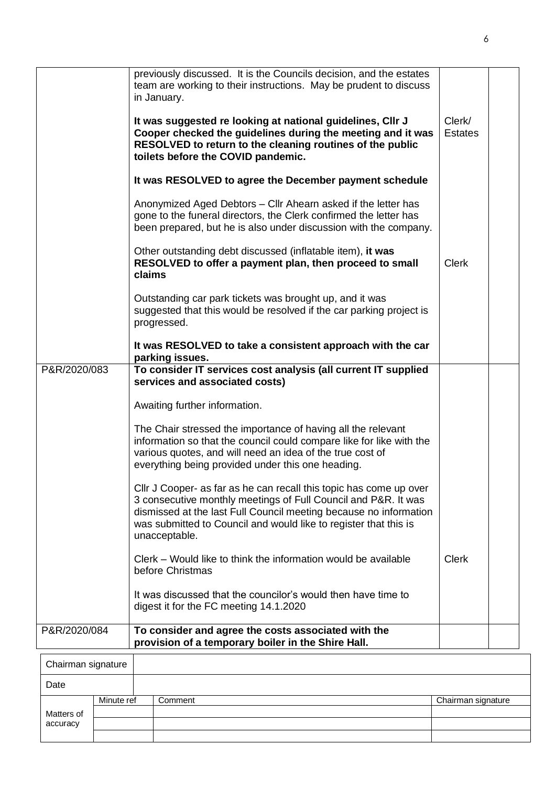|                    | previously discussed. It is the Councils decision, and the estates<br>team are working to their instructions. May be prudent to discuss<br>in January.                                                                                                                                         |                          |  |
|--------------------|------------------------------------------------------------------------------------------------------------------------------------------------------------------------------------------------------------------------------------------------------------------------------------------------|--------------------------|--|
|                    | It was suggested re looking at national guidelines, Cllr J<br>Cooper checked the guidelines during the meeting and it was<br>RESOLVED to return to the cleaning routines of the public<br>toilets before the COVID pandemic.                                                                   | Clerk/<br><b>Estates</b> |  |
|                    | It was RESOLVED to agree the December payment schedule                                                                                                                                                                                                                                         |                          |  |
|                    | Anonymized Aged Debtors - Cllr Ahearn asked if the letter has<br>gone to the funeral directors, the Clerk confirmed the letter has<br>been prepared, but he is also under discussion with the company.                                                                                         |                          |  |
|                    | Other outstanding debt discussed (inflatable item), it was<br>RESOLVED to offer a payment plan, then proceed to small<br>claims                                                                                                                                                                | Clerk                    |  |
|                    | Outstanding car park tickets was brought up, and it was<br>suggested that this would be resolved if the car parking project is<br>progressed.                                                                                                                                                  |                          |  |
|                    | It was RESOLVED to take a consistent approach with the car<br>parking issues.                                                                                                                                                                                                                  |                          |  |
| P&R/2020/083       | To consider IT services cost analysis (all current IT supplied<br>services and associated costs)                                                                                                                                                                                               |                          |  |
|                    | Awaiting further information.                                                                                                                                                                                                                                                                  |                          |  |
|                    | The Chair stressed the importance of having all the relevant<br>information so that the council could compare like for like with the<br>various quotes, and will need an idea of the true cost of<br>everything being provided under this one heading.                                         |                          |  |
|                    | Cllr J Cooper- as far as he can recall this topic has come up over<br>3 consecutive monthly meetings of Full Council and P&R. It was<br>dismissed at the last Full Council meeting because no information<br>was submitted to Council and would like to register that this is<br>unacceptable. |                          |  |
|                    | Clerk – Would like to think the information would be available<br>before Christmas                                                                                                                                                                                                             | <b>Clerk</b>             |  |
|                    | It was discussed that the councilor's would then have time to<br>digest it for the FC meeting 14.1.2020                                                                                                                                                                                        |                          |  |
| P&R/2020/084       | To consider and agree the costs associated with the<br>provision of a temporary boiler in the Shire Hall.                                                                                                                                                                                      |                          |  |
| Chairman cianaturo |                                                                                                                                                                                                                                                                                                |                          |  |

| Chairman signature |            |         |                    |
|--------------------|------------|---------|--------------------|
| Date               |            |         |                    |
|                    | Minute ref | Comment | Chairman signature |
| Matters of         |            |         |                    |
| accuracy           |            |         |                    |
|                    |            |         |                    |